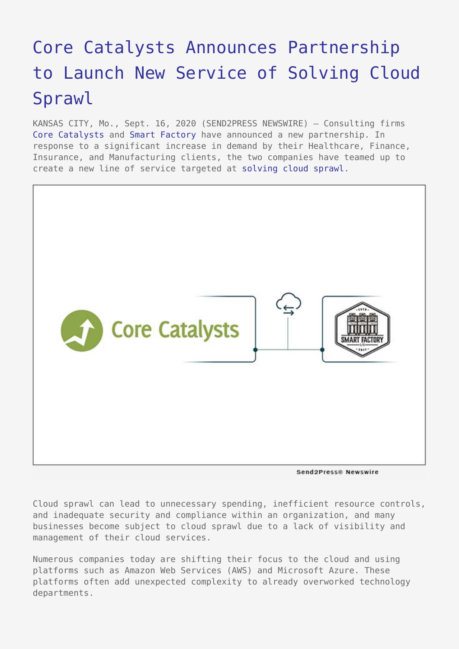## [Core Catalysts Announces Partnership](https://www.send2press.com/wire/core-catalysts-announces-partnership-to-launch-new-service-of-solving-cloud-sprawl/) [to Launch New Service of Solving Cloud](https://www.send2press.com/wire/core-catalysts-announces-partnership-to-launch-new-service-of-solving-cloud-sprawl/) [Sprawl](https://www.send2press.com/wire/core-catalysts-announces-partnership-to-launch-new-service-of-solving-cloud-sprawl/)

KANSAS CITY, Mo., Sept. 16, 2020 (SEND2PRESS NEWSWIRE) — Consulting firms [Core Catalysts](https://www.corecatalysts.com/) and [Smart Factory](https://www.smartfactory.io/) have announced a new partnership. In response to a significant increase in demand by their Healthcare, Finance, Insurance, and Manufacturing clients, the two companies have teamed up to create a new line of service targeted at [solving cloud sprawl](https://www.corecatalysts.com/cloud-solutions/).



Send2Press® Newswire

Cloud sprawl can lead to unnecessary spending, inefficient resource controls, and inadequate security and compliance within an organization, and many businesses become subject to cloud sprawl due to a lack of visibility and management of their cloud services.

Numerous companies today are shifting their focus to the cloud and using platforms such as Amazon Web Services (AWS) and Microsoft Azure. These platforms often add unexpected complexity to already overworked technology departments.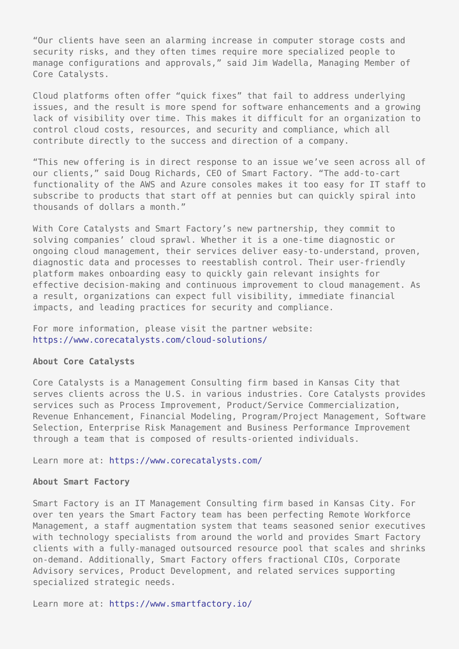"Our clients have seen an alarming increase in computer storage costs and security risks, and they often times require more specialized people to manage configurations and approvals," said Jim Wadella, Managing Member of Core Catalysts.

Cloud platforms often offer "quick fixes" that fail to address underlying issues, and the result is more spend for software enhancements and a growing lack of visibility over time. This makes it difficult for an organization to control cloud costs, resources, and security and compliance, which all contribute directly to the success and direction of a company.

"This new offering is in direct response to an issue we've seen across all of our clients," said Doug Richards, CEO of Smart Factory. "The add-to-cart functionality of the AWS and Azure consoles makes it too easy for IT staff to subscribe to products that start off at pennies but can quickly spiral into thousands of dollars a month."

With Core Catalysts and Smart Factory's new partnership, they commit to solving companies' cloud sprawl. Whether it is a one-time diagnostic or ongoing cloud management, their services deliver easy-to-understand, proven, diagnostic data and processes to reestablish control. Their user-friendly platform makes onboarding easy to quickly gain relevant insights for effective decision-making and continuous improvement to cloud management. As a result, organizations can expect full visibility, immediate financial impacts, and leading practices for security and compliance.

For more information, please visit the partner website: <https://www.corecatalysts.com/cloud-solutions/>

## **About Core Catalysts**

Core Catalysts is a Management Consulting firm based in Kansas City that serves clients across the U.S. in various industries. Core Catalysts provides services such as Process Improvement, Product/Service Commercialization, Revenue Enhancement, Financial Modeling, Program/Project Management, Software Selection, Enterprise Risk Management and Business Performance Improvement through a team that is composed of results-oriented individuals.

Learn more at: <https://www.corecatalysts.com/>

## **About Smart Factory**

Smart Factory is an IT Management Consulting firm based in Kansas City. For over ten years the Smart Factory team has been perfecting Remote Workforce Management, a staff augmentation system that teams seasoned senior executives with technology specialists from around the world and provides Smart Factory clients with a fully-managed outsourced resource pool that scales and shrinks on-demand. Additionally, Smart Factory offers fractional CIOs, Corporate Advisory services, Product Development, and related services supporting specialized strategic needs.

Learn more at: <https://www.smartfactory.io/>